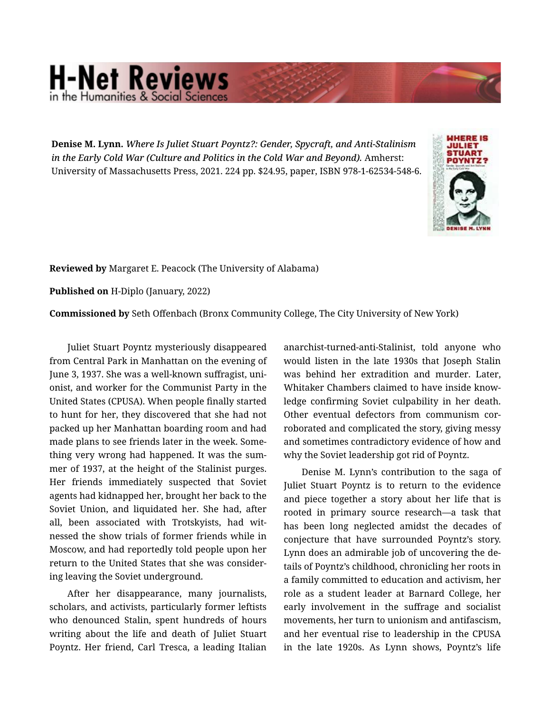## **H-Net Reviews** in the Humanities & Social Scie

Denise M. Lynn. *Where Is Juliet Stuart Poyntz?: Gender, Spycraft, and Anti-Stalinism in the Early Cold War (Culture and Politics in the Cold War and Beyond).* Amherst: University of Massachusetts Press, 2021. 224 pp. \$24.95, paper, ISBN 978-1-62534-548-6.



Reviewed by Margaret E. Peacock (The University of Alabama)

Published on H-Diplo (January, 2022)

Commissioned by Seth Offenbach (Bronx Community College, The City University of New York)

Juliet Stuart Poyntz mysteriously disappeared from Central Park in Manhattan on the evening of June 3, 1937. She was a well-known suffragist, uni‐ onist, and worker for the Communist Party in the United States (CPUSA). When people finally started to hunt for her, they discovered that she had not packed up her Manhattan boarding room and had made plans to see friends later in the week. Some‐ thing very wrong had happened. It was the sum‐ mer of 1937, at the height of the Stalinist purges. Her friends immediately suspected that Soviet agents had kidnapped her, brought her back to the Soviet Union, and liquidated her. She had, after all, been associated with Trotskyists, had wit‐ nessed the show trials of former friends while in Moscow, and had reportedly told people upon her return to the United States that she was consider‐ ing leaving the Soviet underground.

After her disappearance, many journalists, scholars, and activists, particularly former leftists who denounced Stalin, spent hundreds of hours writing about the life and death of Juliet Stuart Poyntz. Her friend, Carl Tresca, a leading Italian anarchist-turned-anti-Stalinist, told anyone who would listen in the late 1930s that Joseph Stalin was behind her extradition and murder. Later, Whitaker Chambers claimed to have inside know‐ ledge confirming Soviet culpability in her death. Other eventual defectors from communism cor‐ roborated and complicated the story, giving messy and sometimes contradictory evidence of how and why the Soviet leadership got rid of Poyntz.

Denise M. Lynn's contribution to the saga of Juliet Stuart Poyntz is to return to the evidence and piece together a story about her life that is rooted in primary source research—a task that has been long neglected amidst the decades of conjecture that have surrounded Poyntz's story. Lynn does an admirable job of uncovering the de‐ tails of Poyntz's childhood, chronicling her roots in a family committed to education and activism, her role as a student leader at Barnard College, her early involvement in the suffrage and socialist movements, her turn to unionism and antifascism, and her eventual rise to leadership in the CPUSA in the late 1920s. As Lynn shows, Poyntz's life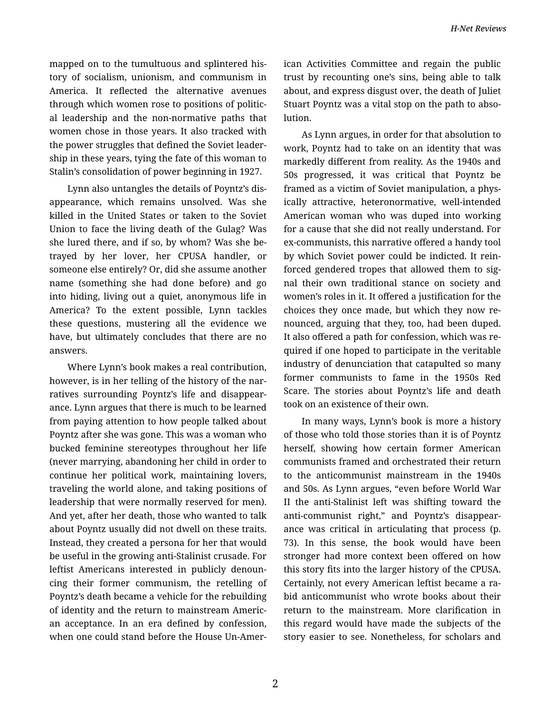mapped on to the tumultuous and splintered his‐ tory of socialism, unionism, and communism in America. It reflected the alternative avenues through which women rose to positions of politic‐ al leadership and the non-normative paths that women chose in those years. It also tracked with the power struggles that defined the Soviet leader‐ ship in these years, tying the fate of this woman to Stalin's consolidation of power beginning in 1927.

Lynn also untangles the details of Poyntz's dis‐ appearance, which remains unsolved. Was she killed in the United States or taken to the Soviet Union to face the living death of the Gulag? Was she lured there, and if so, by whom? Was she be‐ trayed by her lover, her CPUSA handler, or someone else entirely? Or, did she assume another name (something she had done before) and go into hiding, living out a quiet, anonymous life in America? To the extent possible, Lynn tackles these questions, mustering all the evidence we have, but ultimately concludes that there are no answers.

Where Lynn's book makes a real contribution, however, is in her telling of the history of the narratives surrounding Poyntz's life and disappear‐ ance. Lynn argues that there is much to be learned from paying attention to how people talked about Poyntz after she was gone. This was a woman who bucked feminine stereotypes throughout her life (never marrying, abandoning her child in order to continue her political work, maintaining lovers, traveling the world alone, and taking positions of leadership that were normally reserved for men). And yet, after her death, those who wanted to talk about Poyntz usually did not dwell on these traits. Instead, they created a persona for her that would be useful in the growing anti-Stalinist crusade. For leftist Americans interested in publicly denoun‐ cing their former communism, the retelling of Poyntz's death became a vehicle for the rebuilding of identity and the return to mainstream Americ‐ an acceptance. In an era defined by confession, when one could stand before the House Un-Amer‐ ican Activities Committee and regain the public trust by recounting one's sins, being able to talk about, and express disgust over, the death of Juliet Stuart Poyntz was a vital stop on the path to abso‐ lution.

As Lynn argues, in order for that absolution to work, Poyntz had to take on an identity that was markedly different from reality. As the 1940s and 50s progressed, it was critical that Poyntz be framed as a victim of Soviet manipulation, a phys‐ ically attractive, heteronormative, well-intended American woman who was duped into working for a cause that she did not really understand. For ex-communists, this narrative offered a handy tool by which Soviet power could be indicted. It rein‐ forced gendered tropes that allowed them to sig‐ nal their own traditional stance on society and women's roles in it. It offered a justification for the choices they once made, but which they now re‐ nounced, arguing that they, too, had been duped. It also offered a path for confession, which was re‐ quired if one hoped to participate in the veritable industry of denunciation that catapulted so many former communists to fame in the 1950s Red Scare. The stories about Poyntz's life and death took on an existence of their own.

In many ways, Lynn's book is more a history of those who told those stories than it is of Poyntz herself, showing how certain former American communists framed and orchestrated their return to the anticommunist mainstream in the 1940s and 50s. As Lynn argues, "even before World War II the anti-Stalinist left was shifting toward the anti-communist right," and Poyntz's disappear‐ ance was critical in articulating that process (p. 73). In this sense, the book would have been stronger had more context been offered on how this story fits into the larger history of the CPUSA. Certainly, not every American leftist became a ra‐ bid anticommunist who wrote books about their return to the mainstream. More clarification in this regard would have made the subjects of the story easier to see. Nonetheless, for scholars and